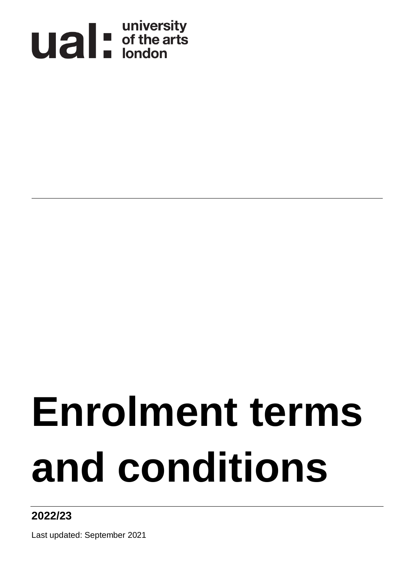

# **Enrolment terms and conditions**

## **2022/23**

Last updated: September 2021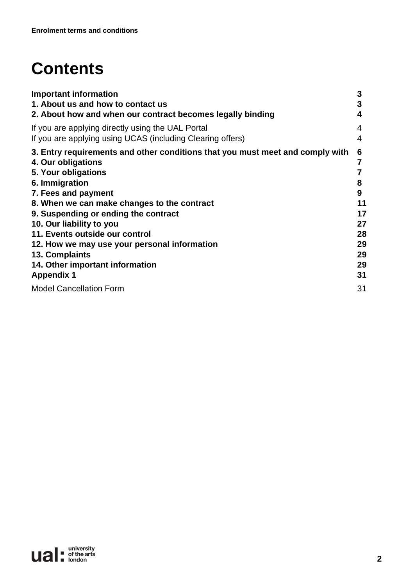# **Contents**

| <b>Important information</b>                                                  | 3  |
|-------------------------------------------------------------------------------|----|
| 1. About us and how to contact us                                             | 3  |
| 2. About how and when our contract becomes legally binding                    | 4  |
| If you are applying directly using the UAL Portal                             | 4  |
| If you are applying using UCAS (including Clearing offers)                    | 4  |
| 3. Entry requirements and other conditions that you must meet and comply with | 6  |
| 4. Our obligations                                                            |    |
| 5. Your obligations                                                           |    |
| 6. Immigration                                                                | 8  |
| 7. Fees and payment                                                           | 9  |
| 8. When we can make changes to the contract                                   | 11 |
| 9. Suspending or ending the contract                                          | 17 |
| 10. Our liability to you                                                      | 27 |
| 11. Events outside our control                                                | 28 |
| 12. How we may use your personal information                                  | 29 |
| 13. Complaints                                                                | 29 |
| 14. Other important information                                               | 29 |
| <b>Appendix 1</b>                                                             | 31 |
| <b>Model Cancellation Form</b>                                                | 31 |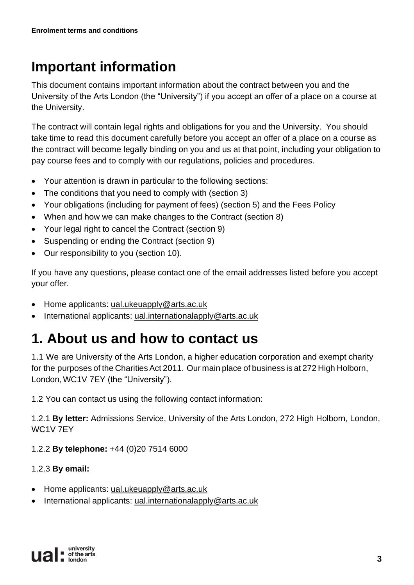## **Important information**

This document contains important information about the contract between you and the University of the Arts London (the "University") if you accept an offer of a place on a course at the University.

The contract will contain legal rights and obligations for you and the University. You should take time to read this document carefully before you accept an offer of a place on a course as the contract will become legally binding on you and us at that point, including your obligation to pay course fees and to comply with our regulations, policies and procedures.

- Your attention is drawn in particular to the following sections:
- The conditions that you need to comply with (section 3)
- Your obligations (including for payment of fees) (section 5) and the Fees Policy
- When and how we can make changes to the Contract (section 8)
- Your legal right to cancel the Contract (section 9)
- Suspending or ending the Contract (section 9)
- Our responsibility to you (section 10).

If you have any questions, please contact one of the email addresses listed before you accept your offer*.*

- Home applicants: [ual.ukeuapply@arts.ac.uk](mailto:ual.ukeuapply@arts.ac.uk)
- International applicants: [ual.internationalapply@arts.ac.uk](mailto:ual.internationalapply@arts.ac.uk)

## **1. About us and how to contact us**

1.1 We are University of the Arts London, a higher education corporation and exempt charity for the purposes of the Charities Act 2011. Our main place of business is at 272 High Holborn, London,WC1V 7EY (the "University").

1.2 You can contact us using the following contact information:

1.2.1 **By letter:** Admissions Service, University of the Arts London, 272 High Holborn, London, WC1V 7EY

1.2.2 **By telephone:** +44 (0)20 7514 6000

### 1.2.3 **By email:**

- Home applicants: [ual.ukeuapply@arts.ac.uk](mailto:ual.ukeuapply@arts.ac.uk)
- International applicants: [ual.internationalapply@arts.ac.uk](mailto:ual.internationalapply@arts.ac.uk)

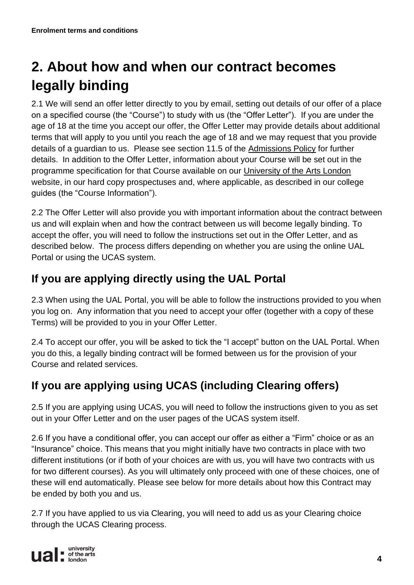# **2. About how and when our contract becomes legally binding**

2.1 We will send an offer letter directly to you by email, setting out details of our offer of a place on a specified course (the "Course") to study with us (the "Offer Letter"). If you are under the age of 18 at the time you accept our offer, the Offer Letter may provide details about additional terms that will apply to you until you reach the age of 18 and we may request that you provide details of a guardian to us. Please see section 11.5 of the [Admissions Policy](https://www.arts.ac.uk/__data/assets/pdf_file/0024/268143/UAL_Admissions_Policy_2021_22.pdf) for further details. In addition to the Offer Letter, information about your Course will be set out in the programme specification for that Course available on our [University of the Arts London](https://www.arts.ac.uk/) website, in our hard copy prospectuses and, where applicable, as described in our college guides (the "Course Information").

2.2 The Offer Letter will also provide you with important information about the contract between us and will explain when and how the contract between us will become legally binding. To accept the offer, you will need to follow the instructions set out in the Offer Letter, and as described below. The process differs depending on whether you are using the online UAL Portal or using the UCAS system.

## **If you are applying directly using the UAL Portal**

2.3 When using the UAL Portal, you will be able to follow the instructions provided to you when you log on. Any information that you need to accept your offer (together with a copy of these Terms) will be provided to you in your Offer Letter.

2.4 To accept our offer, you will be asked to tick the "I accept" button on the UAL Portal. When you do this, a legally binding contract will be formed between us for the provision of your Course and related services.

## **If you are applying using UCAS (including Clearing offers)**

2.5 If you are applying using UCAS, you will need to follow the instructions given to you as set out in your Offer Letter and on the user pages of the UCAS system itself.

2.6 If you have a conditional offer, you can accept our offer as either a "Firm" choice or as an "Insurance" choice. This means that you might initially have two contracts in place with two different institutions (or if both of your choices are with us, you will have two contracts with us for two different courses). As you will ultimately only proceed with one of these choices, one of these will end automatically. Please see below for more details about how this Contract may be ended by both you and us.

2.7 If you have applied to us via Clearing, you will need to add us as your Clearing choice through the UCAS Clearing process.

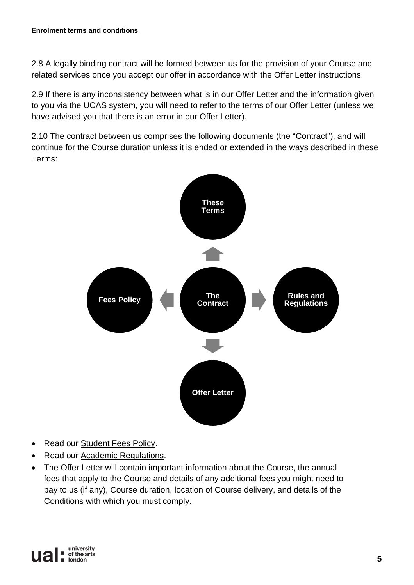2.8 A legally binding contract will be formed between us for the provision of your Course and related services once you accept our offer in accordance with the Offer Letter instructions.

2.9 If there is any inconsistency between what is in our Offer Letter and the information given to you via the UCAS system, you will need to refer to the terms of our Offer Letter (unless we have advised you that there is an error in our Offer Letter).

2.10 The contract between us comprises the following documents (the "Contract"), and will continue for the Course duration unless it is ended or extended in the ways described in these Terms:



- Read our [Student Fees Policy.](https://www.arts.ac.uk/study-at-ual/academic-regulations/student-regulations/student-fees-policy)
- Read our [Academic Regulations.](https://www.arts.ac.uk/study-at-ual/academic-regulations)
- The Offer Letter will contain important information about the Course, the annual fees that apply to the Course and details of any additional fees you might need to pay to us (if any), Course duration, location of Course delivery, and details of the Conditions with which you must comply.

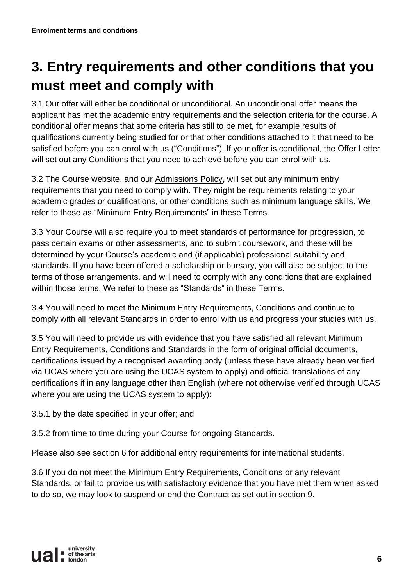## **3. Entry requirements and other conditions that you must meet and comply with**

3.1 Our offer will either be conditional or unconditional. An unconditional offer means the applicant has met the academic entry requirements and the selection criteria for the course. A conditional offer means that some criteria has still to be met, for example results of qualifications currently being studied for or that other conditions attached to it that need to be satisfied before you can enrol with us ("Conditions"). If your offer is conditional, the Offer Letter will set out any Conditions that you need to achieve before you can enrol with us.

3.2 The Course website, and our [Admissions Policy](https://www.arts.ac.uk/study-at-ual/apply)**,** will set out any minimum entry requirements that you need to comply with. They might be requirements relating to your academic grades or qualifications, or other conditions such as minimum language skills. We refer to these as "Minimum Entry Requirements" in these Terms.

3.3 Your Course will also require you to meet standards of performance for progression, to pass certain exams or other assessments, and to submit coursework, and these will be determined by your Course's academic and (if applicable) professional suitability and standards. If you have been offered a scholarship or bursary, you will also be subject to the terms of those arrangements, and will need to comply with any conditions that are explained within those terms. We refer to these as "Standards" in these Terms.

3.4 You will need to meet the Minimum Entry Requirements, Conditions and continue to comply with all relevant Standards in order to enrol with us and progress your studies with us.

3.5 You will need to provide us with evidence that you have satisfied all relevant Minimum Entry Requirements, Conditions and Standards in the form of original official documents, certifications issued by a recognised awarding body (unless these have already been verified via UCAS where you are using the UCAS system to apply) and official translations of any certifications if in any language other than English (where not otherwise verified through UCAS where you are using the UCAS system to apply):

3.5.1 by the date specified in your offer; and

3.5.2 from time to time during your Course for ongoing Standards.

Please also see section 6 for additional entry requirements for international students.

3.6 If you do not meet the Minimum Entry Requirements, Conditions or any relevant Standards, or fail to provide us with satisfactory evidence that you have met them when asked to do so, we may look to suspend or end the Contract as set out in section 9.

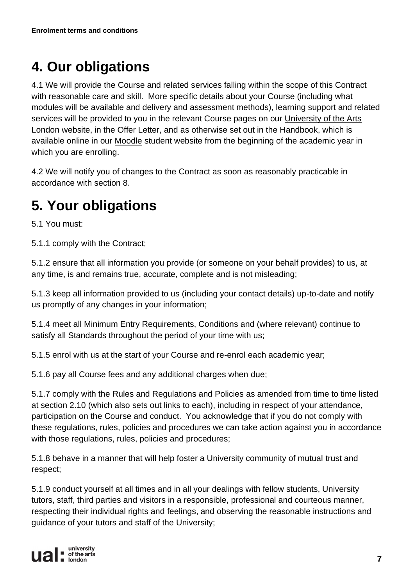## **4. Our obligations**

4.1 We will provide the Course and related services falling within the scope of this Contract with reasonable care and skill. More specific details about your Course (including what modules will be available and delivery and assessment methods), learning support and related services will be provided to you in the relevant Course pages on our [University of the Arts](https://www.arts.ac.uk/)  [London](https://www.arts.ac.uk/) website, in the Offer Letter, and as otherwise set out in the Handbook, which is available online in our [Moodle](http://moodle.arts.ac.uk/) student website from the beginning of the academic year in which you are enrolling.

4.2 We will notify you of changes to the Contract as soon as reasonably practicable in accordance with section 8.

## **5. Your obligations**

5.1 You must:

5.1.1 comply with the Contract;

5.1.2 ensure that all information you provide (or someone on your behalf provides) to us, at any time, is and remains true, accurate, complete and is not misleading;

5.1.3 keep all information provided to us (including your contact details) up-to-date and notify us promptly of any changes in your information;

5.1.4 meet all Minimum Entry Requirements, Conditions and (where relevant) continue to satisfy all Standards throughout the period of your time with us;

5.1.5 enrol with us at the start of your Course and re-enrol each academic year;

5.1.6 pay all Course fees and any additional charges when due;

5.1.7 comply with the Rules and Regulations and Policies as amended from time to time listed at section 2.10 (which also sets out links to each), including in respect of your attendance, participation on the Course and conduct. You acknowledge that if you do not comply with these regulations, rules, policies and procedures we can take action against you in accordance with those regulations, rules, policies and procedures;

5.1.8 behave in a manner that will help foster a University community of mutual trust and respect;

5.1.9 conduct yourself at all times and in all your dealings with fellow students, University tutors, staff, third parties and visitors in a responsible, professional and courteous manner, respecting their individual rights and feelings, and observing the reasonable instructions and guidance of your tutors and staff of the University;

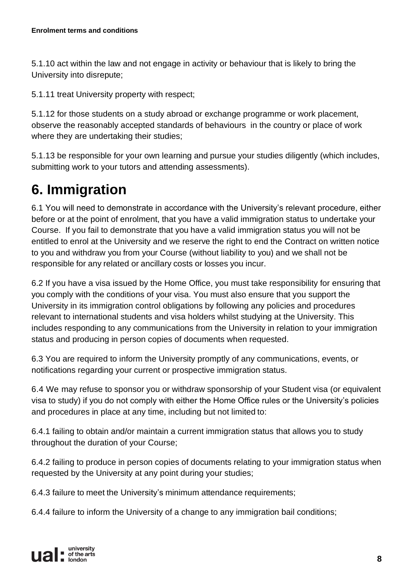5.1.10 act within the law and not engage in activity or behaviour that is likely to bring the University into disrepute;

5.1.11 treat University property with respect;

5.1.12 for those students on a study abroad or exchange programme or work placement, observe the reasonably accepted standards of behaviours in the country or place of work where they are undertaking their studies;

5.1.13 be responsible for your own learning and pursue your studies diligently (which includes, submitting work to your tutors and attending assessments).

## **6. Immigration**

6.1 You will need to demonstrate in accordance with the University's relevant procedure, either before or at the point of enrolment, that you have a valid immigration status to undertake your Course. If you fail to demonstrate that you have a valid immigration status you will not be entitled to enrol at the University and we reserve the right to end the Contract on written notice to you and withdraw you from your Course (without liability to you) and we shall not be responsible for any related or ancillary costs or losses you incur.

6.2 If you have a visa issued by the Home Office, you must take responsibility for ensuring that you comply with the conditions of your visa. You must also ensure that you support the University in its immigration control obligations by following any policies and procedures relevant to international students and visa holders whilst studying at the University. This includes responding to any communications from the University in relation to your immigration status and producing in person copies of documents when requested.

6.3 You are required to inform the University promptly of any communications, events, or notifications regarding your current or prospective immigration status.

6.4 We may refuse to sponsor you or withdraw sponsorship of your Student visa (or equivalent visa to study) if you do not comply with either the Home Office rules or the University's policies and procedures in place at any time, including but not limited to:

6.4.1 failing to obtain and/or maintain a current immigration status that allows you to study throughout the duration of your Course;

6.4.2 failing to produce in person copies of documents relating to your immigration status when requested by the University at any point during your studies;

6.4.3 failure to meet the University's minimum attendance requirements;

6.4.4 failure to inform the University of a change to any immigration bail conditions;

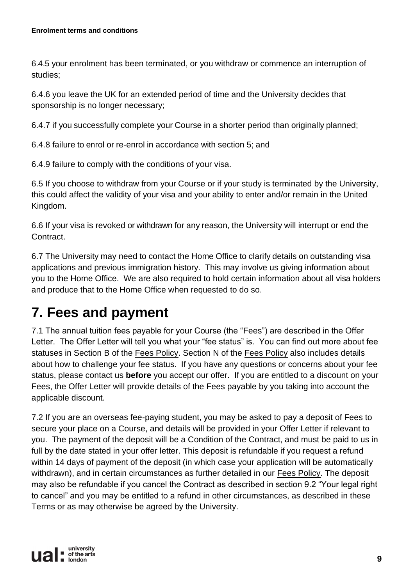6.4.5 your enrolment has been terminated, or you withdraw or commence an interruption of studies;

6.4.6 you leave the UK for an extended period of time and the University decides that sponsorship is no longer necessary;

6.4.7 if you successfully complete your Course in a shorter period than originally planned;

6.4.8 failure to enrol or re-enrol in accordance with section 5; and

6.4.9 failure to comply with the conditions of your visa.

6.5 If you choose to withdraw from your Course or if your study is terminated by the University, this could affect the validity of your visa and your ability to enter and/or remain in the United Kingdom.

6.6 If your visa is revoked or withdrawn for any reason, the University will interrupt or end the Contract.

6.7 The University may need to contact the Home Office to clarify details on outstanding visa applications and previous immigration history. This may involve us giving information about you to the Home Office. We are also required to hold certain information about all visa holders and produce that to the Home Office when requested to do so.

## **7. Fees and payment**

7.1 The annual tuition fees payable for your Course (the "Fees") are described in the Offer Letter. The Offer Letter will tell you what your "fee status" is. You can find out more about fee statuses in Section B of the [Fees Policy.](https://www.arts.ac.uk/study-at-ual/academic-regulations/student-regulations/student-fees-policy) Section N of the [Fees Policy](https://www.arts.ac.uk/study-at-ual/academic-regulations/student-regulations/student-fees-policy) also includes details about how to challenge your fee status. If you have any questions or concerns about your fee status, please contact us **before** you accept our offer. If you are entitled to a discount on your Fees, the Offer Letter will provide details of the Fees payable by you taking into account the applicable discount.

7.2 If you are an overseas fee-paying student, you may be asked to pay a deposit of Fees to secure your place on a Course, and details will be provided in your Offer Letter if relevant to you. The payment of the deposit will be a Condition of the Contract, and must be paid to us in full by the date stated in your offer letter. This deposit is refundable if you request a refund within 14 days of payment of the deposit (in which case your application will be automatically withdrawn), and in certain circumstances as further detailed in our [Fees Policy.](https://www.arts.ac.uk/study-at-ual/academic-regulations/student-regulations/student-fees-policy) The deposit may also be refundable if you cancel the Contract as described in section 9.2 "Your legal right to cancel" and you may be entitled to a refund in other circumstances, as described in these Terms or as may otherwise be agreed by the University.

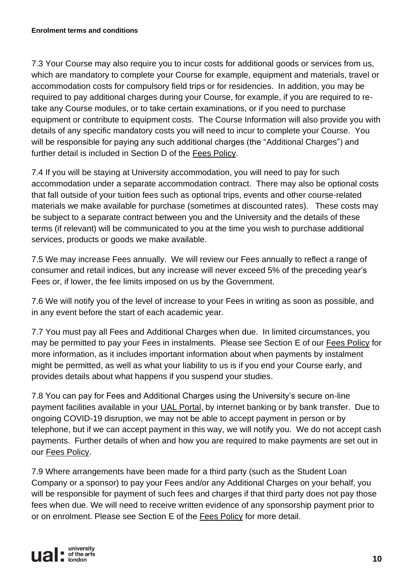7.3 Your Course may also require you to incur costs for additional goods or services from us, which are mandatory to complete your Course for example, equipment and materials, travel or accommodation costs for compulsory field trips or for residencies. In addition, you may be required to pay additional charges during your Course, for example, if you are required to retake any Course modules, or to take certain examinations, or if you need to purchase equipment or contribute to equipment costs. The Course Information will also provide you with details of any specific mandatory costs you will need to incur to complete your Course. You will be responsible for paying any such additional charges (the "Additional Charges") and further detail is included in Section D of the [Fees Policy.](https://www.arts.ac.uk/study-at-ual/academic-regulations/student-regulations/student-fees-policy)

7.4 If you will be staying at University accommodation, you will need to pay for such accommodation under a separate accommodation contract. There may also be optional costs that fall outside of your tuition fees such as optional trips, events and other course-related materials we make available for purchase (sometimes at discounted rates). These costs may be subject to a separate contract between you and the University and the details of these terms (if relevant) will be communicated to you at the time you wish to purchase additional services, products or goods we make available.

7.5 We may increase Fees annually. We will review our Fees annually to reflect a range of consumer and retail indices, but any increase will never exceed 5% of the preceding year's Fees or, if lower, the fee limits imposed on us by the Government.

7.6 We will notify you of the level of increase to your Fees in writing as soon as possible, and in any event before the start of each academic year.

7.7 You must pay all Fees and Additional Charges when due. In limited circumstances, you may be permitted to pay your Fees in instalments. Please see Section E of our [Fees Policy](https://www.arts.ac.uk/study-at-ual/academic-regulations/student-regulations/student-fees-policy) for more information, as it includes important information about when payments by instalment might be permitted, as well as what your liability to us is if you end your Course early, and provides details about what happens if you suspend your studies.

7.8 You can pay for Fees and Additional Charges using the University's secure on-line payment facilities available in your [UAL Portal,](https://sits.arts.ac.uk/urd/sits.urd/run/siw_lgn) by internet banking or by bank transfer. Due to ongoing COVID-19 disruption, we may not be able to accept payment in person or by telephone, but if we can accept payment in this way, we will notify you. We do not accept cash payments. Further details of when and how you are required to make payments are set out in our [Fees Policy.](https://www.arts.ac.uk/study-at-ual/academic-regulations/student-regulations/student-fees-policy)

7.9 Where arrangements have been made for a third party (such as the Student Loan Company or a sponsor) to pay your Fees and/or any Additional Charges on your behalf, you will be responsible for payment of such fees and charges if that third party does not pay those fees when due. We will need to receive written evidence of any sponsorship payment prior to or on enrolment. Please see Section E of the [Fees Policy](https://www.arts.ac.uk/study-at-ual/academic-regulations/student-regulations/student-fees-policy) for more detail.

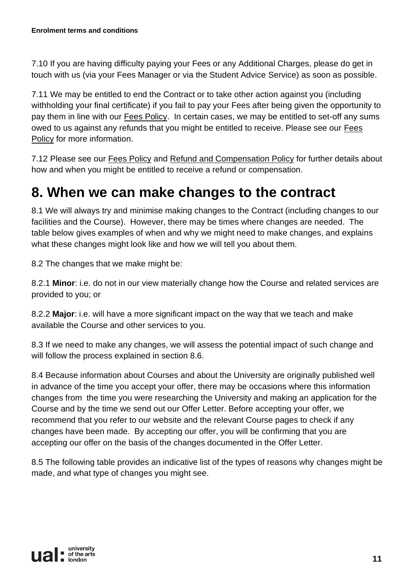7.10 If you are having difficulty paying your Fees or any Additional Charges, please do get in touch with us (via your Fees Manager or via the Student Advice Service) as soon as possible.

7.11 We may be entitled to end the Contract or to take other action against you (including withholding your final certificate) if you fail to pay your Fees after being given the opportunity to pay them in line with our [Fees Policy.](https://www.arts.ac.uk/study-at-ual/academic-regulations/student-regulations/student-fees-policy) In certain cases, we may be entitled to set-off any sums owed to us against any refunds that you might be entitled to receive. Please see our [Fees](https://www.arts.ac.uk/study-at-ual/academic-regulations/student-regulations/student-fees-policy)  [Policy](https://www.arts.ac.uk/study-at-ual/academic-regulations/student-regulations/student-fees-policy) for more information.

7.12 Please see our [Fees Policy](https://www.arts.ac.uk/study-at-ual/academic-regulations/student-regulations/student-fees-policy) and Refund and [Compensation Policy](https://www.arts.ac.uk/study-at-ual/academic-regulations/refund-and-compensation-policy) for further details about how and when you might be entitled to receive a refund or compensation.

## **8. When we can make changes to the contract**

8.1 We will always try and minimise making changes to the Contract (including changes to our facilities and the Course). However, there may be times where changes are needed. The table below gives examples of when and why we might need to make changes, and explains what these changes might look like and how we will tell you about them.

8.2 The changes that we make might be:

8.2.1 **Minor**: i.e. do not in our view materially change how the Course and related services are provided to you; or

8.2.2 **Major**: i.e. will have a more significant impact on the way that we teach and make available the Course and other services to you.

8.3 If we need to make any changes, we will assess the potential impact of such change and will follow the process explained in section 8.6.

8.4 Because information about Courses and about the University are originally published well in advance of the time you accept your offer, there may be occasions where this information changes from the time you were researching the University and making an application for the Course and by the time we send out our Offer Letter. Before accepting your offer, we recommend that you refer to our website and the relevant Course pages to check if any changes have been made. By accepting our offer, you will be confirming that you are accepting our offer on the basis of the changes documented in the Offer Letter.

8.5 The following table provides an indicative list of the types of reasons why changes might be made, and what type of changes you might see.

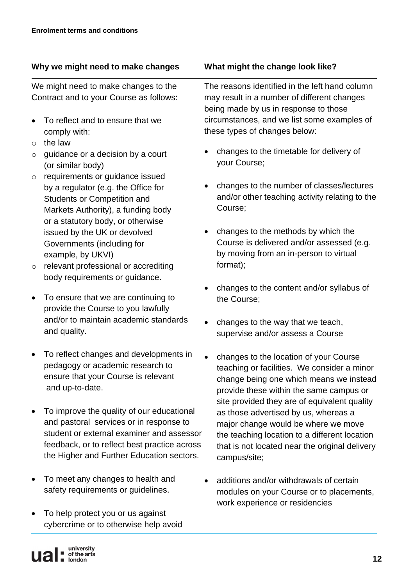#### **Why we might need to make changes What might the change look like?**

We might need to make changes to the Contract and to your Course as follows:

- To reflect and to ensure that we comply with:
- $\circ$  the law
- $\circ$  guidance or a decision by a court (or similar body)
- o requirements or guidance issued by a regulator (e.g. the Office for Students or Competition and Markets Authority), a funding body or a statutory body, or otherwise issued by the UK or devolved Governments (including for example, by UKVI)
- o relevant professional or accrediting body requirements or guidance.
- To ensure that we are continuing to provide the Course to you lawfully and/or to maintain academic standards and quality.
- To reflect changes and developments in pedagogy or academic research to ensure that your Course is relevant and up-to-date.
- To improve the quality of our educational and pastoral services or in response to student or external examiner and assessor feedback, or to reflect best practice across the Higher and Further Education sectors.
- To meet any changes to health and safety requirements or guidelines.
- To help protect you or us against cybercrime or to otherwise help avoid

The reasons identified in the left hand column may result in a number of different changes being made by us in response to those circumstances, and we list some examples of these types of changes below:

- changes to the timetable for delivery of your Course;
- changes to the number of classes/lectures and/or other teaching activity relating to the Course;
- changes to the methods by which the Course is delivered and/or assessed (e.g. by moving from an in-person to virtual format);
- changes to the content and/or syllabus of the Course;
- changes to the way that we teach, supervise and/or assess a Course
- changes to the location of your Course teaching or facilities. We consider a minor change being one which means we instead provide these within the same campus or site provided they are of equivalent quality as those advertised by us, whereas a major change would be where we move the teaching location to a different location that is not located near the original delivery campus/site;
- additions and/or withdrawals of certain modules on your Course or to placements, work experience or residencies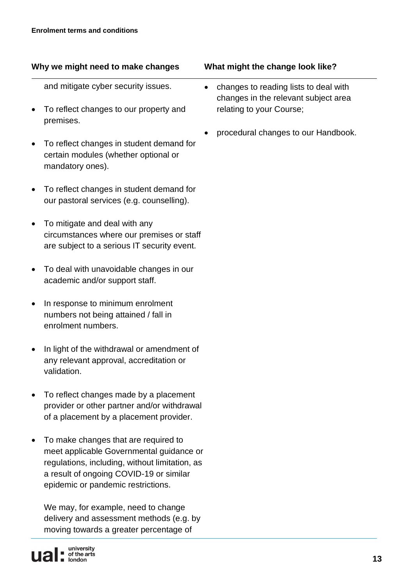#### **Why we might need to make changes What might the change look like?**

and mitigate cyber security issues.

- To reflect changes to our property and premises.
- To reflect changes in student demand for certain modules (whether optional or mandatory ones).
- To reflect changes in student demand for our pastoral services (e.g. counselling).
- To mitigate and deal with any circumstances where our premises or staff are subject to a serious IT security event.
- To deal with unavoidable changes in our academic and/or support staff.
- In response to minimum enrolment numbers not being attained / fall in enrolment numbers.
- In light of the withdrawal or amendment of any relevant approval, accreditation or validation.
- To reflect changes made by a placement provider or other partner and/or withdrawal of a placement by a placement provider.
- To make changes that are required to meet applicable Governmental guidance or regulations, including, without limitation, as a result of ongoing COVID-19 or similar epidemic or pandemic restrictions.

We may, for example, need to change delivery and assessment methods (e.g. by moving towards a greater percentage of



- 
- changes to reading lists to deal with changes in the relevant subject area relating to your Course;
- procedural changes to our Handbook.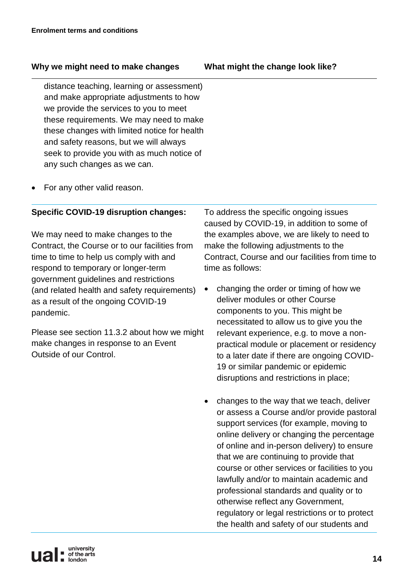#### **Why we might need to make changes What might the change look like?**

distance teaching, learning or assessment) and make appropriate adjustments to how we provide the services to you to meet these requirements. We may need to make these changes with limited notice for health and safety reasons, but we will always seek to provide you with as much notice of any such changes as we can.

• For any other valid reason.

#### **Specific COVID-19 disruption changes:**

We may need to make changes to the Contract, the Course or to our facilities from time to time to help us comply with and respond to temporary or longer-term government guidelines and restrictions (and related health and safety requirements) as a result of the ongoing COVID-19 pandemic.

Please see section 11.3.2 about how we might make changes in response to an Event Outside of our Control.

To address the specific ongoing issues caused by COVID-19, in addition to some of the examples above, we are likely to need to make the following adjustments to the Contract, Course and our facilities from time to time as follows:

- changing the order or timing of how we deliver modules or other Course components to you. This might be necessitated to allow us to give you the relevant experience, e.g. to move a nonpractical module or placement or residency to a later date if there are ongoing COVID-19 or similar pandemic or epidemic disruptions and restrictions in place;
- changes to the way that we teach, deliver or assess a Course and/or provide pastoral support services (for example, moving to online delivery or changing the percentage of online and in-person delivery) to ensure that we are continuing to provide that course or other services or facilities to you lawfully and/or to maintain academic and professional standards and quality or to otherwise reflect any Government, regulatory or legal restrictions or to protect the health and safety of our students and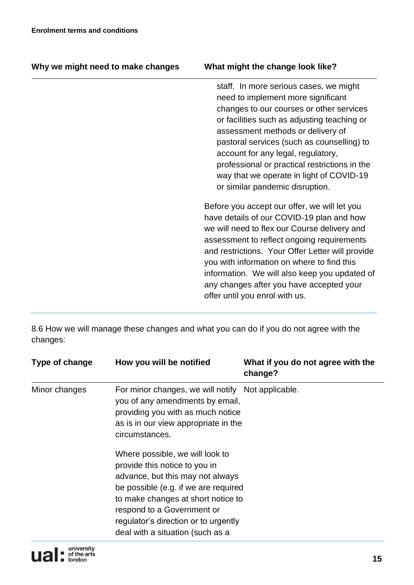| Why we might need to make changes | What might the change look like?                                                                                                                                                                                                                                                                                                                                                                                                 |
|-----------------------------------|----------------------------------------------------------------------------------------------------------------------------------------------------------------------------------------------------------------------------------------------------------------------------------------------------------------------------------------------------------------------------------------------------------------------------------|
|                                   | staff. In more serious cases, we might<br>need to implement more significant<br>changes to our courses or other services<br>or facilities such as adjusting teaching or<br>assessment methods or delivery of<br>pastoral services (such as counselling) to<br>account for any legal, regulatory,<br>professional or practical restrictions in the<br>way that we operate in light of COVID-19<br>or similar pandemic disruption. |
|                                   | Before you accept our offer, we will let you<br>have details of our COVID-19 plan and how<br>we will need to flex our Course delivery and<br>assessment to reflect ongoing requirements<br>and restrictions. Your Offer Letter will provide<br>you with information on where to find this<br>information. We will also keep you updated of<br>any changes after you have accepted your<br>offer until you enrol with us.         |

8.6 How we will manage these changes and what you can do if you do not agree with the changes:

| Type of change | How you will be notified                                                                                                                                                                                                                                                                     | What if you do not agree with the<br>change? |
|----------------|----------------------------------------------------------------------------------------------------------------------------------------------------------------------------------------------------------------------------------------------------------------------------------------------|----------------------------------------------|
| Minor changes  | For minor changes, we will notify Not applicable.<br>you of any amendments by email,<br>providing you with as much notice<br>as is in our view appropriate in the<br>circumstances.                                                                                                          |                                              |
|                | Where possible, we will look to<br>provide this notice to you in<br>advance, but this may not always<br>be possible (e.g. if we are required<br>to make changes at short notice to<br>respond to a Government or<br>regulator's direction or to urgently<br>deal with a situation (such as a |                                              |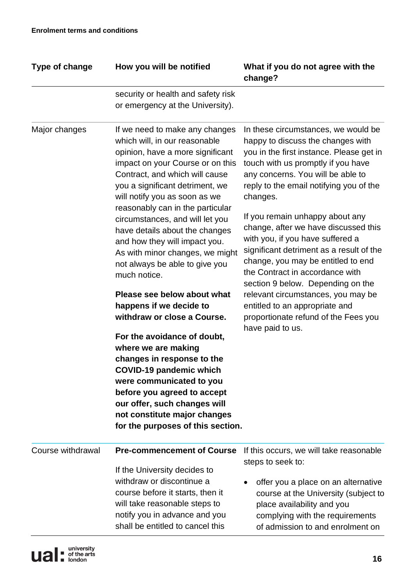| Type of change    | How you will be notified                                                                                                                                                                                                                                                                                                                                                                                                                                                                                                                                                                                                                                                                                                                                                                                                                                    | What if you do not agree with the<br>change?                                                                                                                                                                                                                                                                                                                                                                                                                                                                                                                                                                                                                        |
|-------------------|-------------------------------------------------------------------------------------------------------------------------------------------------------------------------------------------------------------------------------------------------------------------------------------------------------------------------------------------------------------------------------------------------------------------------------------------------------------------------------------------------------------------------------------------------------------------------------------------------------------------------------------------------------------------------------------------------------------------------------------------------------------------------------------------------------------------------------------------------------------|---------------------------------------------------------------------------------------------------------------------------------------------------------------------------------------------------------------------------------------------------------------------------------------------------------------------------------------------------------------------------------------------------------------------------------------------------------------------------------------------------------------------------------------------------------------------------------------------------------------------------------------------------------------------|
|                   | security or health and safety risk<br>or emergency at the University).                                                                                                                                                                                                                                                                                                                                                                                                                                                                                                                                                                                                                                                                                                                                                                                      |                                                                                                                                                                                                                                                                                                                                                                                                                                                                                                                                                                                                                                                                     |
| Major changes     | If we need to make any changes<br>which will, in our reasonable<br>opinion, have a more significant<br>impact on your Course or on this<br>Contract, and which will cause<br>you a significant detriment, we<br>will notify you as soon as we<br>reasonably can in the particular<br>circumstances, and will let you<br>have details about the changes<br>and how they will impact you.<br>As with minor changes, we might<br>not always be able to give you<br>much notice.<br>Please see below about what<br>happens if we decide to<br>withdraw or close a Course.<br>For the avoidance of doubt,<br>where we are making<br>changes in response to the<br><b>COVID-19 pandemic which</b><br>were communicated to you<br>before you agreed to accept<br>our offer, such changes will<br>not constitute major changes<br>for the purposes of this section. | In these circumstances, we would be<br>happy to discuss the changes with<br>you in the first instance. Please get in<br>touch with us promptly if you have<br>any concerns. You will be able to<br>reply to the email notifying you of the<br>changes.<br>If you remain unhappy about any<br>change, after we have discussed this<br>with you, if you have suffered a<br>significant detriment as a result of the<br>change, you may be entitled to end<br>the Contract in accordance with<br>section 9 below. Depending on the<br>relevant circumstances, you may be<br>entitled to an appropriate and<br>proportionate refund of the Fees you<br>have paid to us. |
| Course withdrawal | <b>Pre-commencement of Course</b><br>If the University decides to                                                                                                                                                                                                                                                                                                                                                                                                                                                                                                                                                                                                                                                                                                                                                                                           | If this occurs, we will take reasonable<br>steps to seek to:                                                                                                                                                                                                                                                                                                                                                                                                                                                                                                                                                                                                        |
|                   | withdraw or discontinue a<br>course before it starts, then it<br>will take reasonable steps to<br>notify you in advance and you<br>shall be entitled to cancel this                                                                                                                                                                                                                                                                                                                                                                                                                                                                                                                                                                                                                                                                                         | offer you a place on an alternative<br>course at the University (subject to<br>place availability and you<br>complying with the requirements<br>of admission to and enrolment on                                                                                                                                                                                                                                                                                                                                                                                                                                                                                    |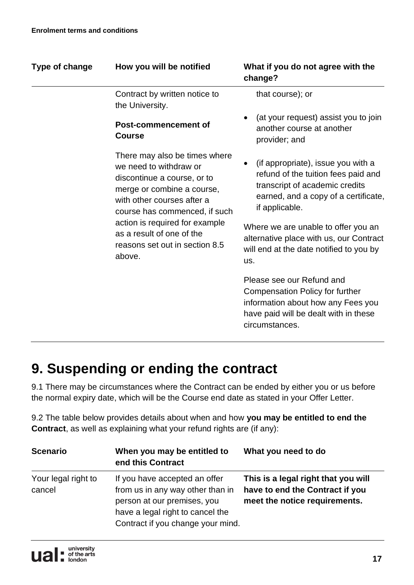| Type of change                                                                                          | How you will be notified                                                                                                                                                            | What if you do not agree with the<br>change?                                                                                                                          |
|---------------------------------------------------------------------------------------------------------|-------------------------------------------------------------------------------------------------------------------------------------------------------------------------------------|-----------------------------------------------------------------------------------------------------------------------------------------------------------------------|
|                                                                                                         | Contract by written notice to<br>the University.                                                                                                                                    | that course); or                                                                                                                                                      |
|                                                                                                         | Post-commencement of<br><b>Course</b>                                                                                                                                               | (at your request) assist you to join<br>another course at another<br>provider; and                                                                                    |
|                                                                                                         | There may also be times where<br>we need to withdraw or<br>discontinue a course, or to<br>merge or combine a course,<br>with other courses after a<br>course has commenced, if such | (if appropriate), issue you with a<br>refund of the tuition fees paid and<br>transcript of academic credits<br>earned, and a copy of a certificate,<br>if applicable. |
| action is required for example<br>as a result of one of the<br>reasons set out in section 8.5<br>above. | Where we are unable to offer you an<br>alternative place with us, our Contract<br>will end at the date notified to you by<br>us.                                                    |                                                                                                                                                                       |
|                                                                                                         |                                                                                                                                                                                     | Please see our Refund and<br><b>Compensation Policy for further</b><br>information about how any Fees you<br>have paid will be dealt with in these<br>circumstances.  |

## **9. Suspending or ending the contract**

9.1 There may be circumstances where the Contract can be ended by either you or us before the normal expiry date, which will be the Course end date as stated in your Offer Letter.

9.2 The table below provides details about when and how **you may be entitled to end the Contract**, as well as explaining what your refund rights are (if any):

| <b>Scenario</b>               | When you may be entitled to<br>end this Contract                                                                                                                          | What you need to do                                                                                     |
|-------------------------------|---------------------------------------------------------------------------------------------------------------------------------------------------------------------------|---------------------------------------------------------------------------------------------------------|
| Your legal right to<br>cancel | If you have accepted an offer<br>from us in any way other than in<br>person at our premises, you<br>have a legal right to cancel the<br>Contract if you change your mind. | This is a legal right that you will<br>have to end the Contract if you<br>meet the notice requirements. |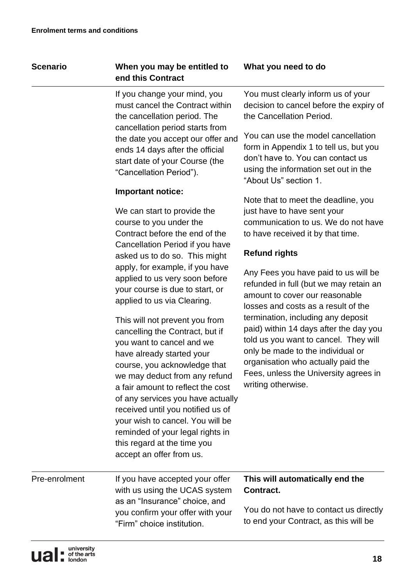#### **Scenario When you may be entitled to end this Contract**

If you change your mind, you must cancel the Contract within the cancellation period. The cancellation period starts from the date you accept our offer and ends 14 days after the official start date of your Course (the "Cancellation Period").

#### **Important notice:**

We can start to provide the course to you under the Contract before the end of the Cancellation Period if you have asked us to do so. This might apply, for example, if you have applied to us very soon before your course is due to start, or applied to us via Clearing.

This will not prevent you from cancelling the Contract, but if you want to cancel and we have already started your course, you acknowledge that we may deduct from any refund a fair amount to reflect the cost of any services you have actually received until you notified us of your wish to cancel. You will be reminded of your legal rights in this regard at the time you accept an offer from us.

#### **What you need to do**

You must clearly inform us of your decision to cancel before the expiry of the Cancellation Period.

You can use the model cancellation form in Appendix 1 to tell us, but you don't have to. You can contact us using the information set out in the "About Us" section 1.

Note that to meet the deadline, you just have to have sent your communication to us. We do not have to have received it by that time.

#### **Refund rights**

Any Fees you have paid to us will be refunded in full (but we may retain an amount to cover our reasonable losses and costs as a result of the termination, including any deposit paid) within 14 days after the day you told us you want to cancel. They will only be made to the individual or organisation who actually paid the Fees, unless the University agrees in writing otherwise.

Pre-enrolment If you have accepted your offer with us using the UCAS system as an "Insurance" choice, and you confirm your offer with your "Firm" choice institution.

#### **This will automatically end the Contract.**

You do not have to contact us directly to end your Contract, as this will be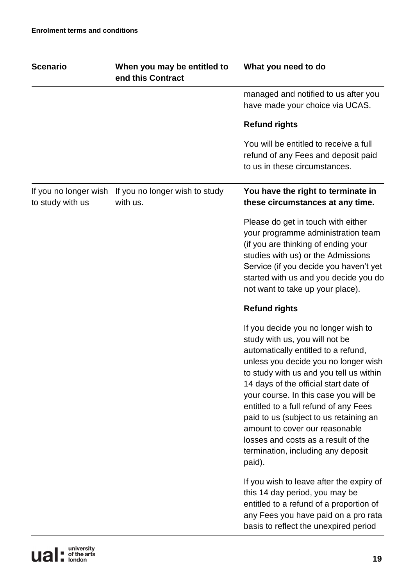| <b>Scenario</b>                           | When you may be entitled to<br>end this Contract | What you need to do                                                                                                                                                                                                                                                                                                                                                                                                                                                                           |
|-------------------------------------------|--------------------------------------------------|-----------------------------------------------------------------------------------------------------------------------------------------------------------------------------------------------------------------------------------------------------------------------------------------------------------------------------------------------------------------------------------------------------------------------------------------------------------------------------------------------|
|                                           |                                                  | managed and notified to us after you<br>have made your choice via UCAS.                                                                                                                                                                                                                                                                                                                                                                                                                       |
|                                           |                                                  | <b>Refund rights</b>                                                                                                                                                                                                                                                                                                                                                                                                                                                                          |
|                                           |                                                  | You will be entitled to receive a full<br>refund of any Fees and deposit paid<br>to us in these circumstances.                                                                                                                                                                                                                                                                                                                                                                                |
| If you no longer wish<br>to study with us | If you no longer wish to study<br>with us.       | You have the right to terminate in<br>these circumstances at any time.                                                                                                                                                                                                                                                                                                                                                                                                                        |
|                                           |                                                  | Please do get in touch with either<br>your programme administration team<br>(if you are thinking of ending your<br>studies with us) or the Admissions<br>Service (if you decide you haven't yet<br>started with us and you decide you do<br>not want to take up your place).                                                                                                                                                                                                                  |
|                                           |                                                  | <b>Refund rights</b>                                                                                                                                                                                                                                                                                                                                                                                                                                                                          |
|                                           |                                                  | If you decide you no longer wish to<br>study with us, you will not be<br>automatically entitled to a refund,<br>unless you decide you no longer wish<br>to study with us and you tell us within<br>14 days of the official start date of<br>your course. In this case you will be<br>entitled to a full refund of any Fees<br>paid to us (subject to us retaining an<br>amount to cover our reasonable<br>losses and costs as a result of the<br>termination, including any deposit<br>paid). |
|                                           |                                                  | If you wish to leave after the expiry of<br>this 14 day period, you may be<br>entitled to a refund of a proportion of<br>any Fees you have paid on a pro rata                                                                                                                                                                                                                                                                                                                                 |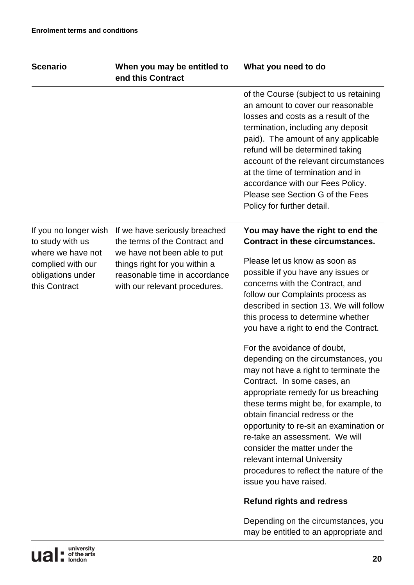| <b>Scenario</b>                                                                                                           | When you may be entitled to<br>end this Contract                                                                                | What you need to do                                                                                                                                                                                                                                                                                                                                                                                                                                                              |
|---------------------------------------------------------------------------------------------------------------------------|---------------------------------------------------------------------------------------------------------------------------------|----------------------------------------------------------------------------------------------------------------------------------------------------------------------------------------------------------------------------------------------------------------------------------------------------------------------------------------------------------------------------------------------------------------------------------------------------------------------------------|
|                                                                                                                           |                                                                                                                                 | of the Course (subject to us retaining<br>an amount to cover our reasonable<br>losses and costs as a result of the<br>termination, including any deposit<br>paid). The amount of any applicable<br>refund will be determined taking<br>account of the relevant circumstances<br>at the time of termination and in<br>accordance with our Fees Policy.<br>Please see Section G of the Fees<br>Policy for further detail.                                                          |
| If you no longer wish<br>to study with us<br>where we have not<br>complied with our<br>obligations under<br>this Contract | If we have seriously breached<br>the terms of the Contract and                                                                  | You may have the right to end the<br><b>Contract in these circumstances.</b>                                                                                                                                                                                                                                                                                                                                                                                                     |
|                                                                                                                           | we have not been able to put<br>things right for you within a<br>reasonable time in accordance<br>with our relevant procedures. | Please let us know as soon as<br>possible if you have any issues or<br>concerns with the Contract, and<br>follow our Complaints process as<br>described in section 13. We will follow<br>this process to determine whether<br>you have a right to end the Contract.                                                                                                                                                                                                              |
|                                                                                                                           |                                                                                                                                 | For the avoidance of doubt,<br>depending on the circumstances, you<br>may not have a right to terminate the<br>Contract. In some cases, an<br>appropriate remedy for us breaching<br>these terms might be, for example, to<br>obtain financial redress or the<br>opportunity to re-sit an examination or<br>re-take an assessment. We will<br>consider the matter under the<br>relevant internal University<br>procedures to reflect the nature of the<br>issue you have raised. |
|                                                                                                                           |                                                                                                                                 | <b>Refund rights and redress</b>                                                                                                                                                                                                                                                                                                                                                                                                                                                 |
|                                                                                                                           |                                                                                                                                 | Depending on the circumstances, you<br>may be entitled to an appropriate and                                                                                                                                                                                                                                                                                                                                                                                                     |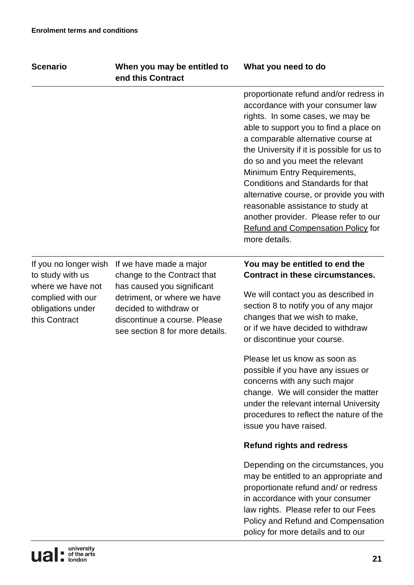| <b>Scenario</b>                                                                                                           | When you may be entitled to<br>end this Contract                                                                                                                                                                 | What you need to do                                                                                                                                                                                                                                                                                                                                                                                                                                                                                                                         |
|---------------------------------------------------------------------------------------------------------------------------|------------------------------------------------------------------------------------------------------------------------------------------------------------------------------------------------------------------|---------------------------------------------------------------------------------------------------------------------------------------------------------------------------------------------------------------------------------------------------------------------------------------------------------------------------------------------------------------------------------------------------------------------------------------------------------------------------------------------------------------------------------------------|
|                                                                                                                           |                                                                                                                                                                                                                  | proportionate refund and/or redress in<br>accordance with your consumer law<br>rights. In some cases, we may be<br>able to support you to find a place on<br>a comparable alternative course at<br>the University if it is possible for us to<br>do so and you meet the relevant<br>Minimum Entry Requirements,<br>Conditions and Standards for that<br>alternative course, or provide you with<br>reasonable assistance to study at<br>another provider. Please refer to our<br><b>Refund and Compensation Policy for</b><br>more details. |
| If you no longer wish<br>to study with us<br>where we have not<br>complied with our<br>obligations under<br>this Contract | If we have made a major<br>change to the Contract that<br>has caused you significant<br>detriment, or where we have<br>decided to withdraw or<br>discontinue a course. Please<br>see section 8 for more details. | You may be entitled to end the<br><b>Contract in these circumstances.</b><br>We will contact you as described in<br>section 8 to notify you of any major<br>changes that we wish to make,<br>or if we have decided to withdraw<br>or discontinue your course.<br>Please let us know as soon as                                                                                                                                                                                                                                              |
|                                                                                                                           |                                                                                                                                                                                                                  | possible if you have any issues or<br>concerns with any such major<br>change. We will consider the matter<br>under the relevant internal University<br>procedures to reflect the nature of the<br>issue you have raised.                                                                                                                                                                                                                                                                                                                    |
|                                                                                                                           |                                                                                                                                                                                                                  | <b>Refund rights and redress</b>                                                                                                                                                                                                                                                                                                                                                                                                                                                                                                            |
|                                                                                                                           |                                                                                                                                                                                                                  | Depending on the circumstances, you<br>may be entitled to an appropriate and<br>proportionate refund and/ or redress<br>in accordance with your consumer<br>law rights. Please refer to our Fees<br>Policy and Refund and Compensation<br>policy for more details and to our                                                                                                                                                                                                                                                                |
|                                                                                                                           |                                                                                                                                                                                                                  |                                                                                                                                                                                                                                                                                                                                                                                                                                                                                                                                             |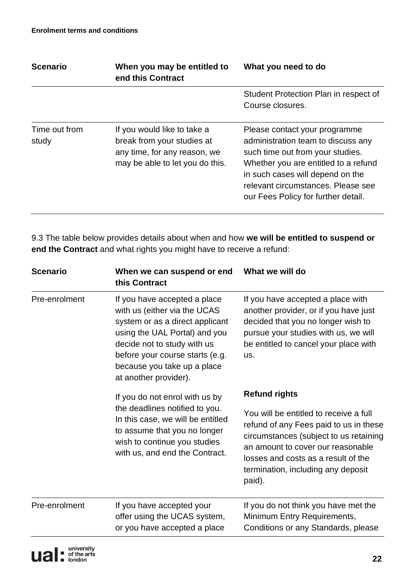| <b>Scenario</b>        | When you may be entitled to<br>end this Contract                                                                             | What you need to do                                                                                                                                                                                                                                              |
|------------------------|------------------------------------------------------------------------------------------------------------------------------|------------------------------------------------------------------------------------------------------------------------------------------------------------------------------------------------------------------------------------------------------------------|
|                        |                                                                                                                              | Student Protection Plan in respect of<br>Course closures.                                                                                                                                                                                                        |
| Time out from<br>study | If you would like to take a<br>break from your studies at<br>any time, for any reason, we<br>may be able to let you do this. | Please contact your programme<br>administration team to discuss any<br>such time out from your studies.<br>Whether you are entitled to a refund<br>in such cases will depend on the<br>relevant circumstances. Please see<br>our Fees Policy for further detail. |

9.3 The table below provides details about when and how **we will be entitled to suspend or end the Contract** and what rights you might have to receive a refund:

| <b>Scenario</b>                                                                                                                                                                                                                                                             | When we can suspend or end<br>this Contract                                                                                                                                                              | What we will do                                                                                                                                                                                                                                        |
|-----------------------------------------------------------------------------------------------------------------------------------------------------------------------------------------------------------------------------------------------------------------------------|----------------------------------------------------------------------------------------------------------------------------------------------------------------------------------------------------------|--------------------------------------------------------------------------------------------------------------------------------------------------------------------------------------------------------------------------------------------------------|
| Pre-enrolment<br>If you have accepted a place<br>with us (either via the UCAS<br>system or as a direct applicant<br>using the UAL Portal) and you<br>decide not to study with us<br>before your course starts (e.g.<br>because you take up a place<br>at another provider). | If you have accepted a place with<br>another provider, or if you have just<br>decided that you no longer wish to<br>pursue your studies with us, we will<br>be entitled to cancel your place with<br>us. |                                                                                                                                                                                                                                                        |
|                                                                                                                                                                                                                                                                             | If you do not enrol with us by                                                                                                                                                                           | <b>Refund rights</b>                                                                                                                                                                                                                                   |
|                                                                                                                                                                                                                                                                             | the deadlines notified to you.<br>In this case, we will be entitled<br>to assume that you no longer<br>wish to continue you studies<br>with us, and end the Contract.                                    | You will be entitled to receive a full<br>refund of any Fees paid to us in these<br>circumstances (subject to us retaining<br>an amount to cover our reasonable<br>losses and costs as a result of the<br>termination, including any deposit<br>paid). |
| Pre-enrolment                                                                                                                                                                                                                                                               | If you have accepted your<br>offer using the UCAS system,<br>or you have accepted a place                                                                                                                | If you do not think you have met the<br>Minimum Entry Requirements,<br>Conditions or any Standards, please                                                                                                                                             |
|                                                                                                                                                                                                                                                                             |                                                                                                                                                                                                          |                                                                                                                                                                                                                                                        |

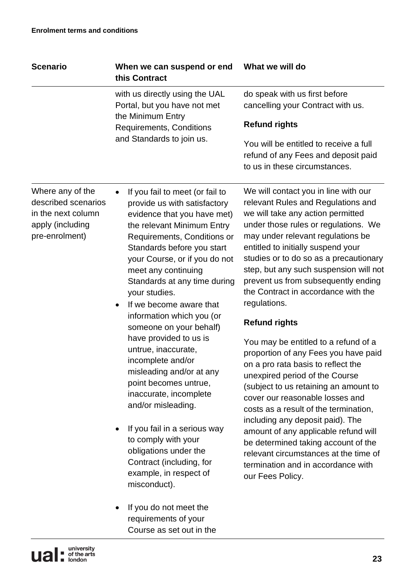| <b>Scenario</b>                                                                                     | When we can suspend or end<br>this Contract                                                                                                                                                                                                                                                                                                                                                                                                                                                                                                                                                                                                                                                                                                                                                                                    | What we will do                                                                                                                                                                                                                                                                                                                                                                                                                                                                                                                                                                                                                                                                                                                                                                                                                                                                                                                                 |
|-----------------------------------------------------------------------------------------------------|--------------------------------------------------------------------------------------------------------------------------------------------------------------------------------------------------------------------------------------------------------------------------------------------------------------------------------------------------------------------------------------------------------------------------------------------------------------------------------------------------------------------------------------------------------------------------------------------------------------------------------------------------------------------------------------------------------------------------------------------------------------------------------------------------------------------------------|-------------------------------------------------------------------------------------------------------------------------------------------------------------------------------------------------------------------------------------------------------------------------------------------------------------------------------------------------------------------------------------------------------------------------------------------------------------------------------------------------------------------------------------------------------------------------------------------------------------------------------------------------------------------------------------------------------------------------------------------------------------------------------------------------------------------------------------------------------------------------------------------------------------------------------------------------|
|                                                                                                     | with us directly using the UAL<br>Portal, but you have not met<br>the Minimum Entry                                                                                                                                                                                                                                                                                                                                                                                                                                                                                                                                                                                                                                                                                                                                            | do speak with us first before<br>cancelling your Contract with us.                                                                                                                                                                                                                                                                                                                                                                                                                                                                                                                                                                                                                                                                                                                                                                                                                                                                              |
|                                                                                                     | <b>Requirements, Conditions</b>                                                                                                                                                                                                                                                                                                                                                                                                                                                                                                                                                                                                                                                                                                                                                                                                | <b>Refund rights</b>                                                                                                                                                                                                                                                                                                                                                                                                                                                                                                                                                                                                                                                                                                                                                                                                                                                                                                                            |
|                                                                                                     | and Standards to join us.                                                                                                                                                                                                                                                                                                                                                                                                                                                                                                                                                                                                                                                                                                                                                                                                      | You will be entitled to receive a full<br>refund of any Fees and deposit paid<br>to us in these circumstances.                                                                                                                                                                                                                                                                                                                                                                                                                                                                                                                                                                                                                                                                                                                                                                                                                                  |
| Where any of the<br>described scenarios<br>in the next column<br>apply (including<br>pre-enrolment) | If you fail to meet (or fail to<br>$\bullet$<br>provide us with satisfactory<br>evidence that you have met)<br>the relevant Minimum Entry<br>Requirements, Conditions or<br>Standards before you start<br>your Course, or if you do not<br>meet any continuing<br>Standards at any time during<br>your studies.<br>If we become aware that<br>$\bullet$<br>information which you (or<br>someone on your behalf)<br>have provided to us is<br>untrue, inaccurate,<br>incomplete and/or<br>misleading and/or at any<br>point becomes untrue,<br>inaccurate, incomplete<br>and/or misleading.<br>If you fail in a serious way<br>to comply with your<br>obligations under the<br>Contract (including, for<br>example, in respect of<br>misconduct).<br>If you do not meet the<br>requirements of your<br>Course as set out in the | We will contact you in line with our<br>relevant Rules and Regulations and<br>we will take any action permitted<br>under those rules or regulations. We<br>may under relevant regulations be<br>entitled to initially suspend your<br>studies or to do so as a precautionary<br>step, but any such suspension will not<br>prevent us from subsequently ending<br>the Contract in accordance with the<br>regulations.<br><b>Refund rights</b><br>You may be entitled to a refund of a<br>proportion of any Fees you have paid<br>on a pro rata basis to reflect the<br>unexpired period of the Course<br>(subject to us retaining an amount to<br>cover our reasonable losses and<br>costs as a result of the termination,<br>including any deposit paid). The<br>amount of any applicable refund will<br>be determined taking account of the<br>relevant circumstances at the time of<br>termination and in accordance with<br>our Fees Policy. |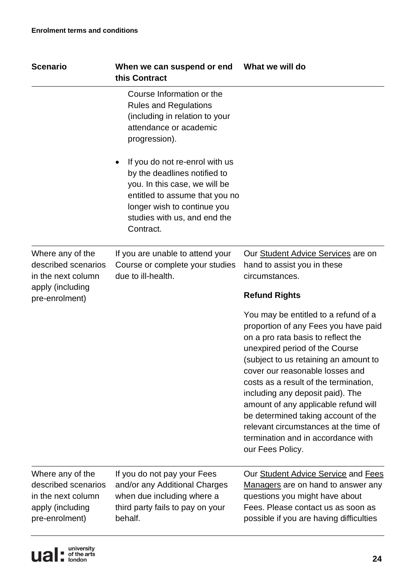| <b>Scenario</b>                                                                                     | When we can suspend or end<br>this Contract                                                                                                                                                                   | What we will do                                                                                                                                                                                                                                                                                                                                                                                                                                                                                 |
|-----------------------------------------------------------------------------------------------------|---------------------------------------------------------------------------------------------------------------------------------------------------------------------------------------------------------------|-------------------------------------------------------------------------------------------------------------------------------------------------------------------------------------------------------------------------------------------------------------------------------------------------------------------------------------------------------------------------------------------------------------------------------------------------------------------------------------------------|
|                                                                                                     | Course Information or the<br><b>Rules and Regulations</b><br>(including in relation to your<br>attendance or academic<br>progression).                                                                        |                                                                                                                                                                                                                                                                                                                                                                                                                                                                                                 |
|                                                                                                     | If you do not re-enrol with us<br>by the deadlines notified to<br>you. In this case, we will be<br>entitled to assume that you no<br>longer wish to continue you<br>studies with us, and end the<br>Contract. |                                                                                                                                                                                                                                                                                                                                                                                                                                                                                                 |
| Where any of the<br>described scenarios<br>in the next column<br>apply (including<br>pre-enrolment) | If you are unable to attend your<br>Course or complete your studies<br>due to ill-health.                                                                                                                     | Our Student Advice Services are on<br>hand to assist you in these<br>circumstances.                                                                                                                                                                                                                                                                                                                                                                                                             |
|                                                                                                     |                                                                                                                                                                                                               | <b>Refund Rights</b>                                                                                                                                                                                                                                                                                                                                                                                                                                                                            |
|                                                                                                     |                                                                                                                                                                                                               | You may be entitled to a refund of a<br>proportion of any Fees you have paid<br>on a pro rata basis to reflect the<br>unexpired period of the Course<br>(subject to us retaining an amount to<br>cover our reasonable losses and<br>costs as a result of the termination,<br>including any deposit paid). The<br>amount of any applicable refund will<br>be determined taking account of the<br>relevant circumstances at the time of<br>termination and in accordance with<br>our Fees Policy. |
| Where any of the<br>described scenarios<br>in the next column<br>apply (including<br>pre-enrolment) | If you do not pay your Fees<br>and/or any Additional Charges<br>when due including where a<br>third party fails to pay on your<br>behalf.                                                                     | Our Student Advice Service and Fees<br>Managers are on hand to answer any<br>questions you might have about<br>Fees. Please contact us as soon as<br>possible if you are having difficulties                                                                                                                                                                                                                                                                                                    |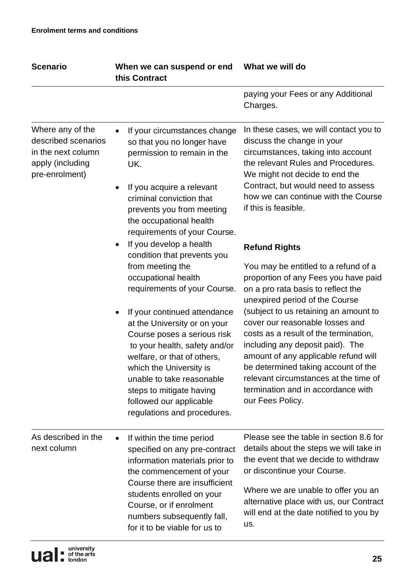| <b>Scenario</b>                                                                                     | When we can suspend or end<br>this Contract                                                                                                                                                                                                                                                               | What we will do                                                                                                                                                                                                                                                                                                                         |
|-----------------------------------------------------------------------------------------------------|-----------------------------------------------------------------------------------------------------------------------------------------------------------------------------------------------------------------------------------------------------------------------------------------------------------|-----------------------------------------------------------------------------------------------------------------------------------------------------------------------------------------------------------------------------------------------------------------------------------------------------------------------------------------|
|                                                                                                     |                                                                                                                                                                                                                                                                                                           | paying your Fees or any Additional<br>Charges.                                                                                                                                                                                                                                                                                          |
| Where any of the<br>described scenarios<br>in the next column<br>apply (including<br>pre-enrolment) | If your circumstances change<br>$\bullet$<br>so that you no longer have<br>permission to remain in the<br>UK.<br>If you acquire a relevant<br>criminal conviction that<br>prevents you from meeting<br>the occupational health<br>requirements of your Course.                                            | In these cases, we will contact you to<br>discuss the change in your<br>circumstances, taking into account<br>the relevant Rules and Procedures.<br>We might not decide to end the<br>Contract, but would need to assess<br>how we can continue with the Course<br>if this is feasible.                                                 |
|                                                                                                     | If you develop a health<br>condition that prevents you<br>from meeting the<br>occupational health<br>requirements of your Course.                                                                                                                                                                         | <b>Refund Rights</b><br>You may be entitled to a refund of a<br>proportion of any Fees you have paid<br>on a pro rata basis to reflect the<br>unexpired period of the Course                                                                                                                                                            |
|                                                                                                     | If your continued attendance<br>at the University or on your<br>Course poses a serious risk<br>to your health, safety and/or<br>welfare, or that of others,<br>which the University is<br>unable to take reasonable<br>steps to mitigate having<br>followed our applicable<br>regulations and procedures. | (subject to us retaining an amount to<br>cover our reasonable losses and<br>costs as a result of the termination,<br>including any deposit paid). The<br>amount of any applicable refund will<br>be determined taking account of the<br>relevant circumstances at the time of<br>termination and in accordance with<br>our Fees Policy. |
| As described in the<br>next column                                                                  | If within the time period<br>specified on any pre-contract<br>information materials prior to<br>the commencement of your<br>Course there are insufficient<br>students enrolled on your<br>Course, or if enrolment<br>numbers subsequently fall,<br>for it to be viable for us to                          | Please see the table in section 8.6 for<br>details about the steps we will take in<br>the event that we decide to withdraw<br>or discontinue your Course.<br>Where we are unable to offer you an<br>alternative place with us, our Contract<br>will end at the date notified to you by<br>us.                                           |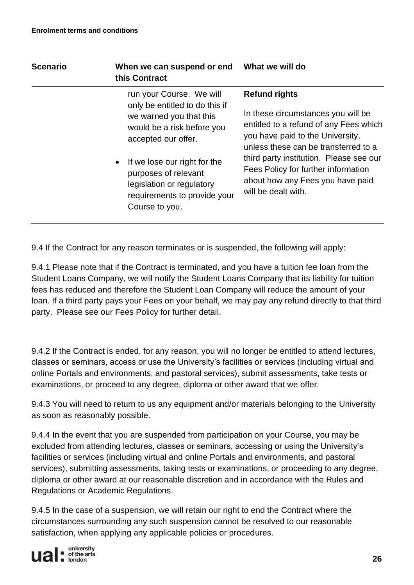| <b>Scenario</b> | When we can suspend or end<br>this Contract                                                                                                                                                                                                                                                    | What we will do                                                                                                                                                                                                                                                                                                               |
|-----------------|------------------------------------------------------------------------------------------------------------------------------------------------------------------------------------------------------------------------------------------------------------------------------------------------|-------------------------------------------------------------------------------------------------------------------------------------------------------------------------------------------------------------------------------------------------------------------------------------------------------------------------------|
|                 | run your Course. We will<br>only be entitled to do this if<br>we warned you that this<br>would be a risk before you<br>accepted our offer.<br>If we lose our right for the<br>$\bullet$<br>purposes of relevant<br>legislation or regulatory<br>requirements to provide your<br>Course to you. | <b>Refund rights</b><br>In these circumstances you will be<br>entitled to a refund of any Fees which<br>you have paid to the University,<br>unless these can be transferred to a<br>third party institution. Please see our<br>Fees Policy for further information<br>about how any Fees you have paid<br>will be dealt with. |
|                 |                                                                                                                                                                                                                                                                                                |                                                                                                                                                                                                                                                                                                                               |

9.4 If the Contract for any reason terminates or is suspended, the following will apply:

9.4.1 Please note that if the Contract is terminated, and you have a tuition fee loan from the Student Loans Company, we will notify the Student Loans Company that its liability for tuition fees has reduced and therefore the Student Loan Company will reduce the amount of your loan. If a third party pays your Fees on your behalf, we may pay any refund directly to that third party. Please see our Fees Policy for further detail.

9.4.2 If the Contract is ended, for any reason, you will no longer be entitled to attend lectures, classes or seminars, access or use the University's facilities or services (including virtual and online Portals and environments, and pastoral services), submit assessments, take tests or examinations, or proceed to any degree, diploma or other award that we offer.

9.4.3 You will need to return to us any equipment and/or materials belonging to the University as soon as reasonably possible.

9.4.4 In the event that you are suspended from participation on your Course, you may be excluded from attending lectures, classes or seminars, accessing or using the University's facilities or services (including virtual and online Portals and environments, and pastoral services), submitting assessments, taking tests or examinations, or proceeding to any degree, diploma or other award at our reasonable discretion and in accordance with the Rules and Regulations or Academic Regulations.

9.4.5 In the case of a suspension, we will retain our right to end the Contract where the circumstances surrounding any such suspension cannot be resolved to our reasonable satisfaction, when applying any applicable policies or procedures.

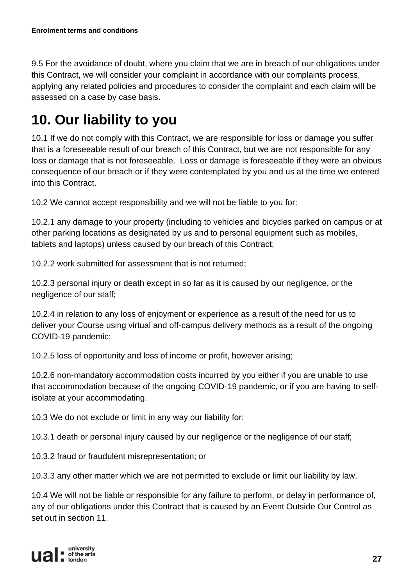9.5 For the avoidance of doubt, where you claim that we are in breach of our obligations under this Contract, we will consider your complaint in accordance with our complaints process, applying any related policies and procedures to consider the complaint and each claim will be assessed on a case by case basis.

## **10. Our liability to you**

10.1 If we do not comply with this Contract, we are responsible for loss or damage you suffer that is a foreseeable result of our breach of this Contract, but we are not responsible for any loss or damage that is not foreseeable. Loss or damage is foreseeable if they were an obvious consequence of our breach or if they were contemplated by you and us at the time we entered into this Contract.

10.2 We cannot accept responsibility and we will not be liable to you for:

10.2.1 any damage to your property (including to vehicles and bicycles parked on campus or at other parking locations as designated by us and to personal equipment such as mobiles, tablets and laptops) unless caused by our breach of this Contract;

10.2.2 work submitted for assessment that is not returned;

10.2.3 personal injury or death except in so far as it is caused by our negligence, or the negligence of our staff;

10.2.4 in relation to any loss of enjoyment or experience as a result of the need for us to deliver your Course using virtual and off-campus delivery methods as a result of the ongoing COVID-19 pandemic;

10.2.5 loss of opportunity and loss of income or profit, however arising;

10.2.6 non-mandatory accommodation costs incurred by you either if you are unable to use that accommodation because of the ongoing COVID-19 pandemic, or if you are having to selfisolate at your accommodating.

10.3 We do not exclude or limit in any way our liability for:

10.3.1 death or personal injury caused by our negligence or the negligence of our staff;

10.3.2 fraud or fraudulent misrepresentation; or

10.3.3 any other matter which we are not permitted to exclude or limit our liability by law.

10.4 We will not be liable or responsible for any failure to perform, or delay in performance of, any of our obligations under this Contract that is caused by an Event Outside Our Control as set out in section 11.

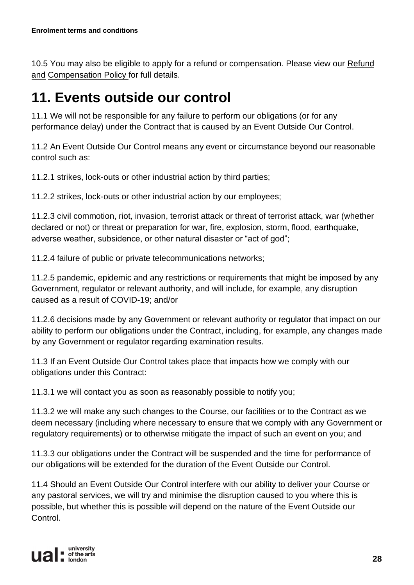10.5 You may also be eligible to apply for a refund or compensation. Please view our Refund [and](https://www.arts.ac.uk/study-at-ual/academic-regulations/refund-and-compensation-policy) [Compensation Policy f](https://www.arts.ac.uk/study-at-ual/academic-regulations/refund-and-compensation-policy)or full details.

## **11. Events outside our control**

11.1 We will not be responsible for any failure to perform our obligations (or for any performance delay) under the Contract that is caused by an Event Outside Our Control.

11.2 An Event Outside Our Control means any event or circumstance beyond our reasonable control such as:

11.2.1 strikes, lock-outs or other industrial action by third parties;

11.2.2 strikes, lock-outs or other industrial action by our employees;

11.2.3 civil commotion, riot, invasion, terrorist attack or threat of terrorist attack, war (whether declared or not) or threat or preparation for war, fire, explosion, storm, flood, earthquake, adverse weather, subsidence, or other natural disaster or "act of god";

11.2.4 failure of public or private telecommunications networks;

11.2.5 pandemic, epidemic and any restrictions or requirements that might be imposed by any Government, regulator or relevant authority, and will include, for example, any disruption caused as a result of COVID-19; and/or

11.2.6 decisions made by any Government or relevant authority or regulator that impact on our ability to perform our obligations under the Contract, including, for example, any changes made by any Government or regulator regarding examination results.

11.3 If an Event Outside Our Control takes place that impacts how we comply with our obligations under this Contract:

11.3.1 we will contact you as soon as reasonably possible to notify you;

11.3.2 we will make any such changes to the Course, our facilities or to the Contract as we deem necessary (including where necessary to ensure that we comply with any Government or regulatory requirements) or to otherwise mitigate the impact of such an event on you; and

11.3.3 our obligations under the Contract will be suspended and the time for performance of our obligations will be extended for the duration of the Event Outside our Control.

11.4 Should an Event Outside Our Control interfere with our ability to deliver your Course or any pastoral services, we will try and minimise the disruption caused to you where this is possible, but whether this is possible will depend on the nature of the Event Outside our Control.

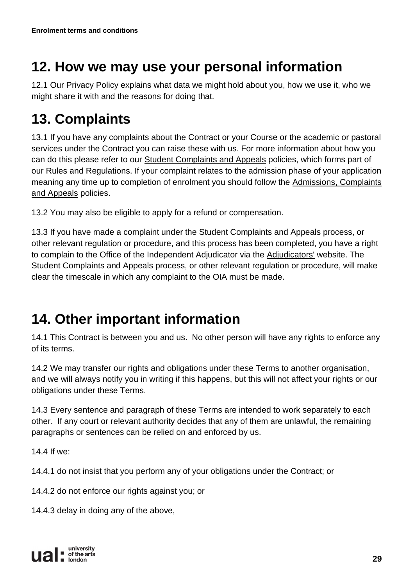## **12. How we may use your personal information**

12.1 Our [Privacy Policy](https://www.arts.ac.uk/study-at-ual/academic-regulations/student-regulations/student-privacy-policy) explains what data we might hold about you, how we use it, who we might share it with and the reasons for doing that.

## **13. Complaints**

13.1 If you have any complaints about the Contract or your Course or the academic or pastoral services under the Contract you can raise these with us. For more information about how you can do this please refer to our [Student Complaints and Appeals](https://www.arts.ac.uk/study-at-ual/academic-regulations/complaints-and-appeals) policies, which forms part of our Rules and Regulations. If your complaint relates to the admission phase of your application meaning any time up to completion of enrolment you should follow the [Admissions, Complaints](https://www.arts.ac.uk/study-at-ual/apply/admissions-complaints-and-appeals)  [and Appeals](https://www.arts.ac.uk/study-at-ual/apply/admissions-complaints-and-appeals) policies.

13.2 You may also be eligible to apply for a refund or compensation.

13.3 If you have made a complaint under the Student Complaints and Appeals process, or other relevant regulation or procedure, and this process has been completed, you have a right to complain to the Office of the Independent Adjudicator via the [Adjudicators'](https://www.oiahe.org.uk/) website. The Student Complaints and Appeals process, or other relevant regulation or procedure, will make clear the timescale in which any complaint to the OIA must be made.

## **14. Other important information**

14.1 This Contract is between you and us. No other person will have any rights to enforce any of its terms.

14.2 We may transfer our rights and obligations under these Terms to another organisation, and we will always notify you in writing if this happens, but this will not affect your rights or our obligations under these Terms.

14.3 Every sentence and paragraph of these Terms are intended to work separately to each other. If any court or relevant authority decides that any of them are unlawful, the remaining paragraphs or sentences can be relied on and enforced by us.

14.4 If we:

14.4.1 do not insist that you perform any of your obligations under the Contract; or

14.4.2 do not enforce our rights against you; or

14.4.3 delay in doing any of the above,

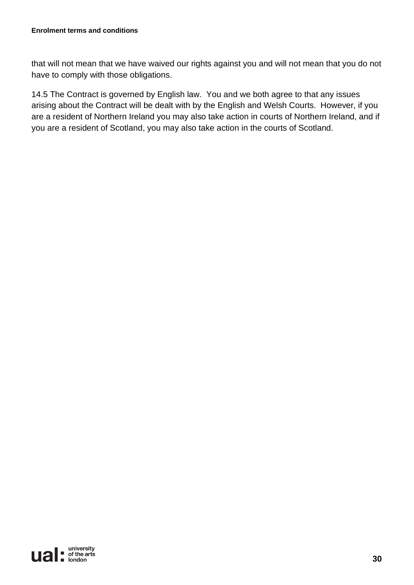that will not mean that we have waived our rights against you and will not mean that you do not have to comply with those obligations.

14.5 The Contract is governed by English law. You and we both agree to that any issues arising about the Contract will be dealt with by the English and Welsh Courts. However, if you are a resident of Northern Ireland you may also take action in courts of Northern Ireland, and if you are a resident of Scotland, you may also take action in the courts of Scotland.